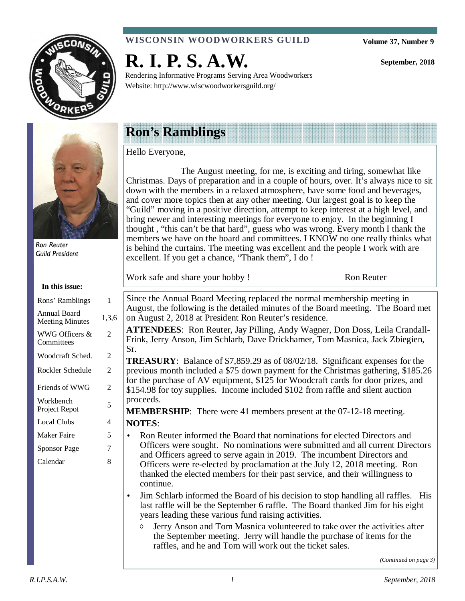

## **WISCONSIN WOODWORKERS GUILD**

Rendering Informative Programs Serving Area Woodworkers

**Volume 37, Number 9** 

**September, 2018** 



Ron Reuter Guild President

**In this issue:** 

| 1     |
|-------|
| 1,3,6 |
| 2     |
| 2     |
| 2     |
| 2     |
| 5     |
| 4     |
| 5     |
| 7     |
| 8     |
|       |
|       |
|       |
|       |

## **Ron's Ramblings**

**R. I. P. S. A.W.** 

Website: http://www.wiscwoodworkersguild.org/

#### Hello Everyone,

 The August meeting, for me, is exciting and tiring, somewhat like Christmas. Days of preparation and in a couple of hours, over. It's always nice to sit down with the members in a relaxed atmosphere, have some food and beverages, and cover more topics then at any other meeting. Our largest goal is to keep the "Guild" moving in a positive direction, attempt to keep interest at a high level, and bring newer and interesting meetings for everyone to enjoy. In the beginning I thought , "this can't be that hard", guess who was wrong. Every month I thank the members we have on the board and committees. I KNOW no one really thinks what is behind the curtains. The meeting was excellent and the people I work with are excellent. If you get a chance, "Thank them", I do !

Work safe and share your hobby ! Ron Reuter

Since the Annual Board Meeting replaced the normal membership meeting in August, the following is the detailed minutes of the Board meeting. The Board met on August 2, 2018 at President Ron Reuter's residence.

**ATTENDEES**: Ron Reuter, Jay Pilling, Andy Wagner, Don Doss, Leila Crandall-Frink, Jerry Anson, Jim Schlarb, Dave Drickhamer, Tom Masnica, Jack Zbiegien, Sr.

**TREASURY**: Balance of \$7,859.29 as of 08/02/18. Significant expenses for the previous month included a \$75 down payment for the Christmas gathering, \$185.26 for the purchase of AV equipment, \$125 for Woodcraft cards for door prizes, and \$154.98 for toy supplies. Income included \$102 from raffle and silent auction proceeds.

**MEMBERSHIP**: There were 41 members present at the 07-12-18 meeting. **NOTES**:

- Ron Reuter informed the Board that nominations for elected Directors and Officers were sought. No nominations were submitted and all current Directors and Officers agreed to serve again in 2019. The incumbent Directors and Officers were re-elected by proclamation at the July 12, 2018 meeting. Ron thanked the elected members for their past service, and their willingness to continue.
- Jim Schlarb informed the Board of his decision to stop handling all raffles. His last raffle will be the September 6 raffle. The Board thanked Jim for his eight years leading these various fund raising activities.
	- $\Diamond$  Jerry Anson and Tom Masnica volunteered to take over the activities after the September meeting. Jerry will handle the purchase of items for the raffles, and he and Tom will work out the ticket sales.

*(Continued on page 3)*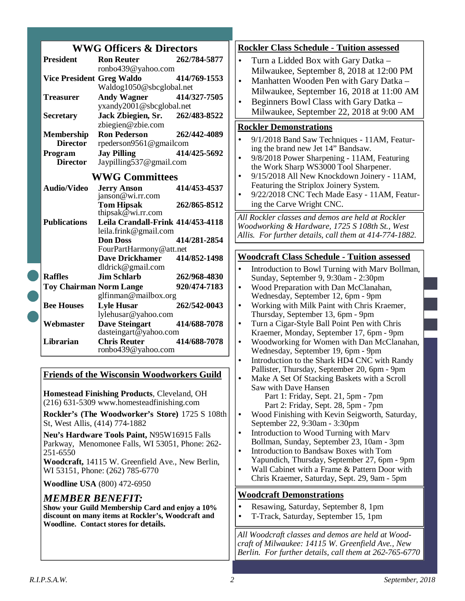|  | <b>WWG Officers &amp; Directors</b>                                                      |                                                 |              |  |  |  |
|--|------------------------------------------------------------------------------------------|-------------------------------------------------|--------------|--|--|--|
|  | <b>President</b>                                                                         | <b>Ron Reuter</b>                               | 262/784-5877 |  |  |  |
|  |                                                                                          | ronbo439@yahoo.com                              |              |  |  |  |
|  | <b>Vice President Greg Waldo</b>                                                         |                                                 | 414/769-1553 |  |  |  |
|  |                                                                                          | Waldog1050@sbcglobal.net                        |              |  |  |  |
|  | <b>Treasurer</b>                                                                         | <b>Andy Wagner</b>                              | 414/327-7505 |  |  |  |
|  |                                                                                          | yxandy2001@sbcglobal.net                        |              |  |  |  |
|  | <b>Secretary</b>                                                                         | Jack Zbiegien, Sr.                              | 262/483-8522 |  |  |  |
|  |                                                                                          | zbiegien@zbie.com                               |              |  |  |  |
|  | <b>Membership</b>                                                                        | <b>Ron Pederson</b>                             | 262/442-4089 |  |  |  |
|  | <b>Director</b>                                                                          | rpederson9561@gmailcom                          |              |  |  |  |
|  | Program<br><b>Director</b>                                                               | <b>Jay Pilling</b><br>Jaypilling537@gmail.com   | 414/425-5692 |  |  |  |
|  |                                                                                          |                                                 |              |  |  |  |
|  |                                                                                          | <b>WWG Committees</b>                           |              |  |  |  |
|  | <b>Audio/Video</b>                                                                       | <b>Jerry Anson</b>                              | 414/453-4537 |  |  |  |
|  |                                                                                          | janson@wi.rr.com                                |              |  |  |  |
|  |                                                                                          | <b>Tom Hipsak</b><br>thipsak@wi.rr.com          | 262/865-8512 |  |  |  |
|  | <b>Publications</b>                                                                      | Leila Crandall-Frink 414/453-4118               |              |  |  |  |
|  |                                                                                          | leila.frink@gmail.com                           |              |  |  |  |
|  |                                                                                          | <b>Don Doss</b>                                 | 414/281-2854 |  |  |  |
|  |                                                                                          | FourPartHarmony@att.net                         |              |  |  |  |
|  |                                                                                          | <b>Dave Drickhamer</b>                          | 414/852-1498 |  |  |  |
|  |                                                                                          | dldrick@gmail.com                               |              |  |  |  |
|  | <b>Raffles</b>                                                                           | <b>Jim Schlarb</b>                              | 262/968-4830 |  |  |  |
|  | <b>Toy Chairman Norm Lange</b>                                                           |                                                 | 920/474-7183 |  |  |  |
|  |                                                                                          | glfinman@mailbox.org                            |              |  |  |  |
|  | <b>Bee Houses</b>                                                                        | <b>Lyle Husar</b>                               | 262/542-0043 |  |  |  |
|  |                                                                                          | lylehusar@yahoo.com                             |              |  |  |  |
|  | Webmaster                                                                                | <b>Dave Steingart</b><br>dasteingart@yahoo.com  | 414/688-7078 |  |  |  |
|  | Librarian                                                                                | <b>Chris Reuter</b>                             | 414/688-7078 |  |  |  |
|  |                                                                                          | ronbo439@yahoo.com                              |              |  |  |  |
|  |                                                                                          |                                                 |              |  |  |  |
|  |                                                                                          |                                                 |              |  |  |  |
|  | <b>Friends of the Wisconsin Woodworkers Guild</b>                                        |                                                 |              |  |  |  |
|  |                                                                                          |                                                 |              |  |  |  |
|  | Homestead Finishing Products, Cleveland, OH<br>(216) 631-5309 www.homesteadfinishing.com |                                                 |              |  |  |  |
|  |                                                                                          |                                                 |              |  |  |  |
|  |                                                                                          | Rockler's (The Woodworker's Store) 1725 S 108th |              |  |  |  |

**Rockler's (The Woodworker's Store)** 1725 S 108th St, West Allis, (414) 774-1882

**Neu's Hardware Tools Paint,** N95W16915 Falls Parkway, Menomonee Falls, WI 53051, Phone: 262- 251-6550

**Woodcraft,** 14115 W. Greenfield Ave., New Berlin, WI 53151, Phone: (262) 785-6770

**Woodline USA** (800) 472-6950

### *MEMBER BENEFIT:*

**Show your Guild Membership Card and enjoy a 10% discount on many items at Rockler's, Woodcraft and Woodline. Contact stores for details.** 

### **Rockler Class Schedule - Tuition assessed**  • Turn a Lidded Box with Gary Datka – Milwaukee, September 8, 2018 at 12:00 PM • Manhatten Wooden Pen with Gary Datka – Milwaukee, September 16, 2018 at 11:00 AM • Beginners Bowl Class with Gary Datka – Milwaukee, September 22, 2018 at 9:00 AM **Rockler Demonstrations**  • 9/1/2018 Band Saw Techniques - 11AM, Featuring the brand new Jet 14" Bandsaw.

- 9/8/2018 Power Sharpening 11AM, Featuring the Work Sharp WS3000 Tool Sharpener.
- 9/15/2018 All New Knockdown Joinery 11AM, Featuring the Striplox Joinery System.
- 9/22/2018 CNC Tech Made Easy 11AM, Featuring the Carve Wright CNC.

*All Rockler classes and demos are held at Rockler Woodworking & Hardware, 1725 S 108th St., West Allis. For further details, call them at 414-774-1882.* 

#### **Woodcraft Class Schedule - Tuition assessed**

- Introduction to Bowl Turning with Mary Bollman, Sunday, September 9, 9:30am - 2:30pm
- Wood Preparation with Dan McClanahan, Wednesday, September 12, 6pm - 9pm
- Working with Milk Paint with Chris Kraemer, Thursday, September 13, 6pm - 9pm
- Turn a Cigar-Style Ball Point Pen with Chris Kraemer, Monday, September 17, 6pm - 9pm
- Woodworking for Women with Dan McClanahan, Wednesday, September 19, 6pm - 9pm
- Introduction to the Shark HD4 CNC with Randy Pallister, Thursday, September 20, 6pm - 9pm
- Make A Set Of Stacking Baskets with a Scroll Saw with Dave Hansen
	- Part 1: Friday, Sept. 21, 5pm 7pm Part 2: Friday, Sept. 28, 5pm - 7pm
- Wood Finishing with Kevin Seigworth, Saturday, September 22, 9:30am - 3:30pm
- Introduction to Wood Turning with Marv Bollman, Sunday, September 23, 10am - 3pm • Introduction to Bandsaw Boxes with Tom
- Yapundich, Thursday, September 27, 6pm 9pm Wall Cabinet with a Frame & Pattern Door with
- Chris Kraemer, Saturday, Sept. 29, 9am 5pm

### **Woodcraft Demonstrations**

- Resawing, Saturday, September 8, 1pm
- T-Track, Saturday, September 15, 1pm

*All Woodcraft classes and demos are held at Woodcraft of Milwaukee: 14115 W. Greenfield Ave., New Berlin. For further details, call them at 262-765-6770*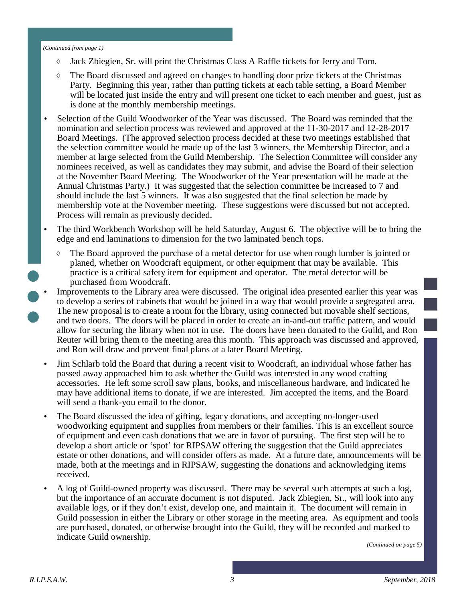#### *(Continued from page 1)*

- Jack Zbiegien, Sr. will print the Christmas Class A Raffle tickets for Jerry and Tom.
- $\Diamond$  The Board discussed and agreed on changes to handling door prize tickets at the Christmas Party. Beginning this year, rather than putting tickets at each table setting, a Board Member will be located just inside the entry and will present one ticket to each member and guest, just as is done at the monthly membership meetings.
- Selection of the Guild Woodworker of the Year was discussed. The Board was reminded that the nomination and selection process was reviewed and approved at the 11-30-2017 and 12-28-2017 Board Meetings. (The approved selection process decided at these two meetings established that the selection committee would be made up of the last 3 winners, the Membership Director, and a member at large selected from the Guild Membership. The Selection Committee will consider any nominees received, as well as candidates they may submit, and advise the Board of their selection at the November Board Meeting. The Woodworker of the Year presentation will be made at the Annual Christmas Party.) It was suggested that the selection committee be increased to 7 and should include the last 5 winners. It was also suggested that the final selection be made by membership vote at the November meeting. These suggestions were discussed but not accepted. Process will remain as previously decided.
- The third Workbench Workshop will be held Saturday, August 6. The objective will be to bring the edge and end laminations to dimension for the two laminated bench tops.
	- The Board approved the purchase of a metal detector for use when rough lumber is jointed or planed, whether on Woodcraft equipment, or other equipment that may be available. This practice is a critical safety item for equipment and operator. The metal detector will be purchased from Woodcraft.
- Improvements to the Library area were discussed. The original idea presented earlier this year was to develop a series of cabinets that would be joined in a way that would provide a segregated area. The new proposal is to create a room for the library, using connected but movable shelf sections, and two doors. The doors will be placed in order to create an in-and-out traffic pattern, and would allow for securing the library when not in use. The doors have been donated to the Guild, and Ron Reuter will bring them to the meeting area this month. This approach was discussed and approved, and Ron will draw and prevent final plans at a later Board Meeting.
	- Jim Schlarb told the Board that during a recent visit to Woodcraft, an individual whose father has passed away approached him to ask whether the Guild was interested in any wood crafting accessories. He left some scroll saw plans, books, and miscellaneous hardware, and indicated he may have additional items to donate, if we are interested. Jim accepted the items, and the Board will send a thank-you email to the donor.
	- The Board discussed the idea of gifting, legacy donations, and accepting no-longer-used woodworking equipment and supplies from members or their families. This is an excellent source of equipment and even cash donations that we are in favor of pursuing. The first step will be to develop a short article or 'spot' for RIPSAW offering the suggestion that the Guild appreciates estate or other donations, and will consider offers as made. At a future date, announcements will be made, both at the meetings and in RIPSAW, suggesting the donations and acknowledging items received.
	- A log of Guild-owned property was discussed. There may be several such attempts at such a log, but the importance of an accurate document is not disputed. Jack Zbiegien, Sr., will look into any available logs, or if they don't exist, develop one, and maintain it. The document will remain in Guild possession in either the Library or other storage in the meeting area. As equipment and tools are purchased, donated, or otherwise brought into the Guild, they will be recorded and marked to indicate Guild ownership.

*(Continued on page 5)*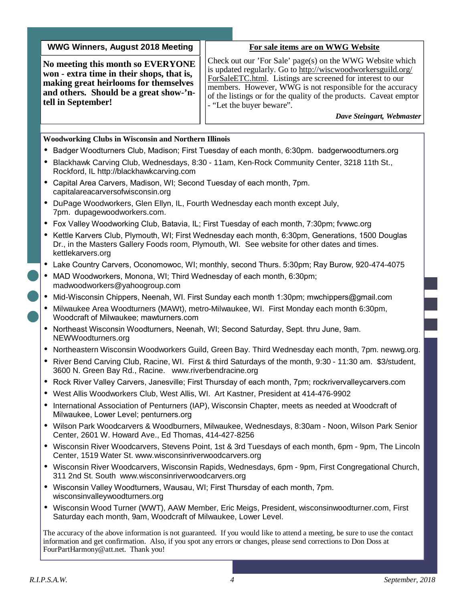| <b>WWG Winners, August 2018 Meeting</b>                                                                                                                                                 |                                                                                                                                                                                                                                                                                                                                                                                     | For sale items are on WWG Website |  |  |  |  |
|-----------------------------------------------------------------------------------------------------------------------------------------------------------------------------------------|-------------------------------------------------------------------------------------------------------------------------------------------------------------------------------------------------------------------------------------------------------------------------------------------------------------------------------------------------------------------------------------|-----------------------------------|--|--|--|--|
| No meeting this month so EVERYONE<br>won - extra time in their shops, that is,<br>making great heirlooms for themselves<br>and others. Should be a great show-'n-<br>tell in September! | Check out our 'For Sale' page(s) on the WWG Website which<br>is updated regularly. Go to http://wiscwoodworkersguild.org/<br>ForSaleETC.html. Listings are screened for interest to our<br>members. However, WWG is not responsible for the accuracy<br>of the listings or for the quality of the products. Caveat emptor<br>- "Let the buyer beware".<br>Dave Steingart, Webmaster |                                   |  |  |  |  |
| <b>Woodworking Clubs in Wisconsin and Northern Illinois</b>                                                                                                                             |                                                                                                                                                                                                                                                                                                                                                                                     |                                   |  |  |  |  |
| Badger Woodturners Club, Madison; First Tuesday of each month, 6:30pm. badgerwoodturners.org                                                                                            |                                                                                                                                                                                                                                                                                                                                                                                     |                                   |  |  |  |  |
| Blackhawk Carving Club, Wednesdays, 8:30 - 11am, Ken-Rock Community Center, 3218 11th St.,<br>Rockford, IL http://blackhawkcarving.com                                                  |                                                                                                                                                                                                                                                                                                                                                                                     |                                   |  |  |  |  |

- Capital Area Carvers, Madison, WI; Second Tuesday of each month, 7pm. capitalareacarversofwisconsin.org
- DuPage Woodworkers, Glen Ellyn, IL, Fourth Wednesday each month except July, 7pm. dupagewoodworkers.com.
- Fox Valley Woodworking Club, Batavia, IL; First Tuesday of each month, 7:30pm; fvwwc.org
- Kettle Karvers Club, Plymouth, WI; First Wednesday each month, 6:30pm, Generations, 1500 Douglas Dr., in the Masters Gallery Foods room, Plymouth, WI. See website for other dates and times. kettlekarvers.org
- Lake Country Carvers, Oconomowoc, WI; monthly, second Thurs. 5:30pm; Ray Burow, 920-474-4075
- MAD Woodworkers, Monona, WI; Third Wednesday of each month, 6:30pm; madwoodworkers@yahoogroup.com
- Mid-Wisconsin Chippers, Neenah, WI. First Sunday each month 1:30pm; mwchippers@gmail.com
- Milwaukee Area Woodturners (MAWt), metro-Milwaukee, WI. First Monday each month 6:30pm, Woodcraft of Milwaukee; mawturners.com
- Northeast Wisconsin Woodturners, Neenah, WI; Second Saturday, Sept. thru June, 9am. NEWWoodturners.org
- Northeastern Wisconsin Woodworkers Guild, Green Bay. Third Wednesday each month, 7pm. newwg.org.
- River Bend Carving Club, Racine, WI. First & third Saturdays of the month, 9:30 11:30 am. \$3/student, 3600 N. Green Bay Rd., Racine. www.riverbendracine.org
- Rock River Valley Carvers, Janesville; First Thursday of each month, 7pm; rockrivervalleycarvers.com
- West Allis Woodworkers Club, West Allis, WI. Art Kastner, President at 414-476-9902
- International Association of Penturners (IAP), Wisconsin Chapter, meets as needed at Woodcraft of Milwaukee, Lower Level; penturners.org
- Wilson Park Woodcarvers & Woodburners, Milwaukee, Wednesdays, 8:30am Noon, Wilson Park Senior Center, 2601 W. Howard Ave., Ed Thomas, 414-427-8256
- Wisconsin River Woodcarvers, Stevens Point, 1st & 3rd Tuesdays of each month, 6pm 9pm, The Lincoln Center, 1519 Water St. www.wisconsinriverwoodcarvers.org
- Wisconsin River Woodcarvers, Wisconsin Rapids, Wednesdays, 6pm 9pm, First Congregational Church, 311 2nd St. South www.wisconsinriverwoodcarvers.org
- Wisconsin Valley Woodturners, Wausau, WI; First Thursday of each month, 7pm. wisconsinvalleywoodturners.org
- Wisconsin Wood Turner (WWT), AAW Member, Eric Meigs, President, wisconsinwoodturner.com, First Saturday each month, 9am, Woodcraft of Milwaukee, Lower Level.

The accuracy of the above information is not guaranteed. If you would like to attend a meeting, be sure to use the contact information and get confirmation. Also, if you spot any errors or changes, please send corrections to Don Doss at FourPartHarmony@att.net. Thank you!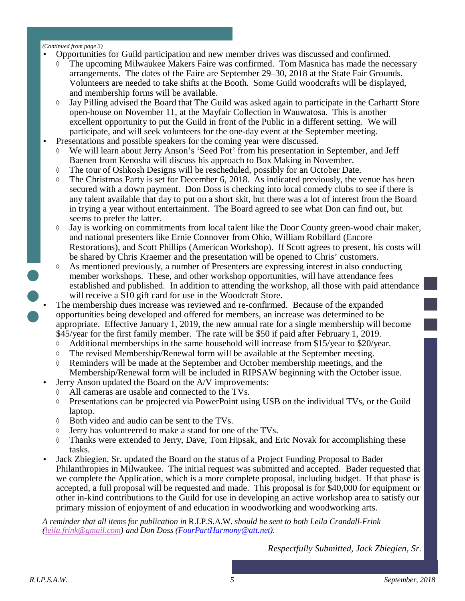#### *(Continued from page 3)*

- Opportunities for Guild participation and new member drives was discussed and confirmed.
	- The upcoming Milwaukee Makers Faire was confirmed. Tom Masnica has made the necessary arrangements. The dates of the Faire are September 29–30, 2018 at the State Fair Grounds. Volunteers are needed to take shifts at the Booth. Some Guild woodcrafts will be displayed, and membership forms will be available.
	- Jay Pilling advised the Board that The Guild was asked again to participate in the Carhartt Store open-house on November 11, at the Mayfair Collection in Wauwatosa. This is another excellent opportunity to put the Guild in front of the Public in a different setting. We will participate, and will seek volunteers for the one-day event at the September meeting.
- Presentations and possible speakers for the coming year were discussed.
	- We will learn about Jerry Anson's 'Seed Pot' from his presentation in September, and Jeff Baenen from Kenosha will discuss his approach to Box Making in November.
	- The tour of Oshkosh Designs will be rescheduled, possibly for an October Date.
	- $\Diamond$  The Christmas Party is set for December 6, 2018. As indicated previously, the venue has been secured with a down payment. Don Doss is checking into local comedy clubs to see if there is any talent available that day to put on a short skit, but there was a lot of interest from the Board in trying a year without entertainment. The Board agreed to see what Don can find out, but seems to prefer the latter.
	- $\Diamond$  Jay is working on commitments from local talent like the Door County green-wood chair maker, and national presenters like Ernie Connover from Ohio, William Robillard (Encore Restorations), and Scott Phillips (American Workshop). If Scott agrees to present, his costs will be shared by Chris Kraemer and the presentation will be opened to Chris' customers.
	- As mentioned previously, a number of Presenters are expressing interest in also conducting member workshops. These, and other workshop opportunities, will have attendance fees established and published. In addition to attending the workshop, all those with paid attendance will receive a \$10 gift card for use in the Woodcraft Store.
- The membership dues increase was reviewed and re-confirmed. Because of the expanded opportunities being developed and offered for members, an increase was determined to be appropriate. Effective January 1, 2019, the new annual rate for a single membership will become \$45/year for the first family member. The rate will be \$50 if paid after February 1, 2019.
	- $\Diamond$  Additional memberships in the same household will increase from \$15/year to \$20/year.
	- The revised Membership/Renewal form will be available at the September meeting.
	- Reminders will be made at the September and October membership meetings, and the Membership/Renewal form will be included in RIPSAW beginning with the October issue.
	- Jerry Anson updated the Board on the A/V improvements:
		- All cameras are usable and connected to the TVs.
		- Presentations can be projected via PowerPoint using USB on the individual TVs, or the Guild laptop.
		- Both video and audio can be sent to the TVs.
		- Jerry has volunteered to make a stand for one of the TVs.
		- $\Diamond$  Thanks were extended to Jerry, Dave, Tom Hipsak, and Eric Novak for accomplishing these tasks.
	- Jack Zbiegien, Sr. updated the Board on the status of a Project Funding Proposal to Bader Philanthropies in Milwaukee. The initial request was submitted and accepted. Bader requested that we complete the Application, which is a more complete proposal, including budget. If that phase is accepted, a full proposal will be requested and made. This proposal is for \$40,000 for equipment or other in-kind contributions to the Guild for use in developing an active workshop area to satisfy our primary mission of enjoyment of and education in woodworking and woodworking arts.

*A reminder that all items for publication in* R.I.P.S.A.W. *should be sent to both Leila Crandall-Frink (leila.frink@gmail.com) and Don Doss (FourPartHarmony@att.net).* 

*Respectfully Submitted, Jack Zbiegien, Sr.*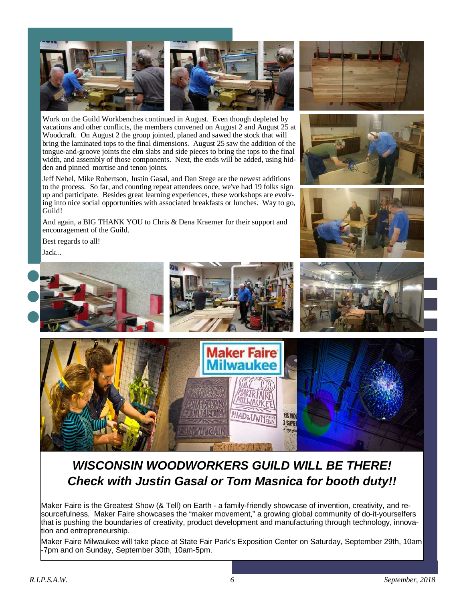

Work on the Guild Workbenches continued in August. Even though depleted by vacations and other conflicts, the members convened on August 2 and August 25 at Woodcraft. On August 2 the group jointed, planed and sawed the stock that will bring the laminated tops to the final dimensions. August 25 saw the addition of the tongue-and-groove joints the elm slabs and side pieces to bring the tops to the final width, and assembly of those components. Next, the ends will be added, using hidden and pinned mortise and tenon joints.

Jeff Nebel, Mike Robertson, Justin Gasal, and Dan Stege are the newest additions to the process. So far, and counting repeat attendees once, we've had 19 folks sign up and participate. Besides great learning experiences, these workshops are evolving into nice social opportunities with associated breakfasts or lunches. Way to go, Guild!

And again, a BIG THANK YOU to Chris & Dena Kraemer for their support and encouragement of the Guild.







Best regards to all! Jack...





# **WISCONSIN WOODWORKERS GUILD WILL BE THERE! Check with Justin Gasal or Tom Masnica for booth duty!!**

Maker Faire is the Greatest Show (& Tell) on Earth - a family-friendly showcase of invention, creativity, and resourcefulness. Maker Faire showcases the "maker movement," a growing global community of do-it-yourselfers that is pushing the boundaries of creativity, product development and manufacturing through technology, innovation and entrepreneurship.

Maker Faire Milwaukee will take place at State Fair Park's Exposition Center on Saturday, September 29th, 10am -7pm and on Sunday, September 30th, 10am-5pm.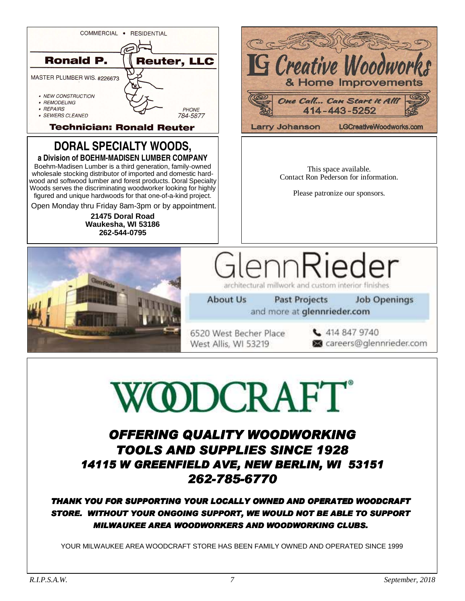